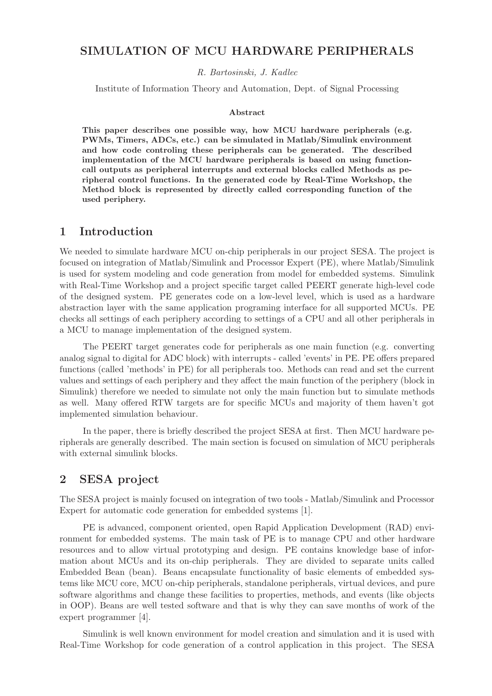#### SIMULATION OF MCU HARDWARE PERIPHERALS

R. Bartosinski, J. Kadlec

Institute of Information Theory and Automation, Dept. of Signal Processing

#### Abstract

This paper describes one possible way, how MCU hardware peripherals (e.g. PWMs, Timers, ADCs, etc.) can be simulated in Matlab/Simulink environment and how code controling these peripherals can be generated. The described implementation of the MCU hardware peripherals is based on using functioncall outputs as peripheral interrupts and external blocks called Methods as peripheral control functions. In the generated code by Real-Time Workshop, the Method block is represented by directly called corresponding function of the used periphery.

#### 1 Introduction

We needed to simulate hardware MCU on-chip peripherals in our project SESA. The project is focused on integration of Matlab/Simulink and Processor Expert (PE), where Matlab/Simulink is used for system modeling and code generation from model for embedded systems. Simulink with Real-Time Workshop and a project specific target called PEERT generate high-level code of the designed system. PE generates code on a low-level level, which is used as a hardware abstraction layer with the same application programing interface for all supported MCUs. PE checks all settings of each periphery according to settings of a CPU and all other peripherals in a MCU to manage implementation of the designed system.

The PEERT target generates code for peripherals as one main function (e.g. converting analog signal to digital for ADC block) with interrupts - called 'events' in PE. PE offers prepared functions (called 'methods' in PE) for all peripherals too. Methods can read and set the current values and settings of each periphery and they affect the main function of the periphery (block in Simulink) therefore we needed to simulate not only the main function but to simulate methods as well. Many offered RTW targets are for specific MCUs and majority of them haven't got implemented simulation behaviour.

In the paper, there is briefly described the project SESA at first. Then MCU hardware peripherals are generally described. The main section is focused on simulation of MCU peripherals with external simulink blocks.

### 2 SESA project

The SESA project is mainly focused on integration of two tools - Matlab/Simulink and Processor Expert for automatic code generation for embedded systems [1].

PE is advanced, component oriented, open Rapid Application Development (RAD) environment for embedded systems. The main task of PE is to manage CPU and other hardware resources and to allow virtual prototyping and design. PE contains knowledge base of information about MCUs and its on-chip peripherals. They are divided to separate units called Embedded Bean (bean). Beans encapsulate functionality of basic elements of embedded systems like MCU core, MCU on-chip peripherals, standalone peripherals, virtual devices, and pure software algorithms and change these facilities to properties, methods, and events (like objects in OOP). Beans are well tested software and that is why they can save months of work of the expert programmer [4].

Simulink is well known environment for model creation and simulation and it is used with Real-Time Workshop for code generation of a control application in this project. The SESA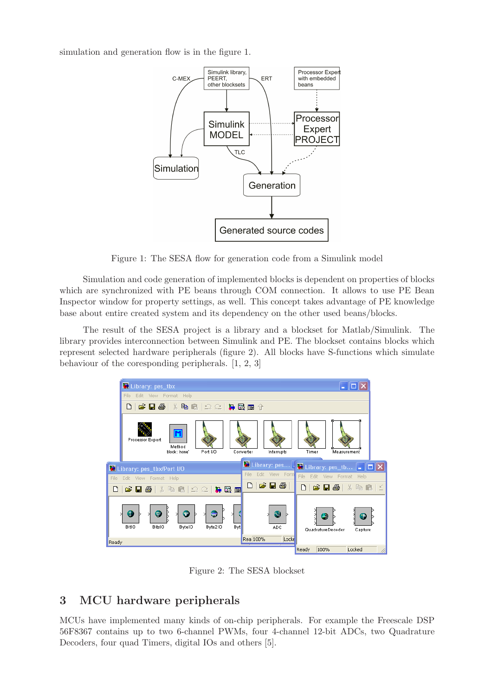simulation and generation flow is in the figure 1.



Figure 1: The SESA flow for generation code from a Simulink model

Simulation and code generation of implemented blocks is dependent on properties of blocks which are synchronized with PE beans through COM connection. It allows to use PE Bean Inspector window for property settings, as well. This concept takes advantage of PE knowledge base about entire created system and its dependency on the other used beans/blocks.

The result of the SESA project is a library and a blockset for Matlab/Simulink. The library provides interconnection between Simulink and PE. The blockset contains blocks which represent selected hardware peripherals (figure 2). All blocks have S-functions which simulate behaviour of the coresponding peripherals. [1, 2, 3]



Figure 2: The SESA blockset

# 3 MCU hardware peripherals

MCUs have implemented many kinds of on-chip peripherals. For example the Freescale DSP 56F8367 contains up to two 6-channel PWMs, four 4-channel 12-bit ADCs, two Quadrature Decoders, four quad Timers, digital IOs and others [5].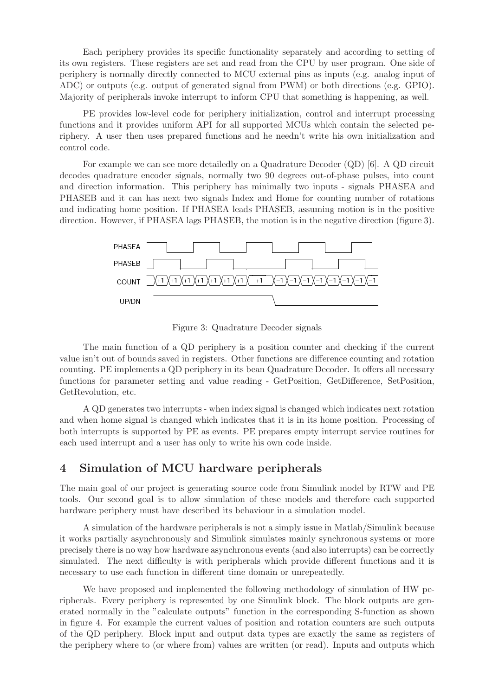Each periphery provides its specific functionality separately and according to setting of its own registers. These registers are set and read from the CPU by user program. One side of periphery is normally directly connected to MCU external pins as inputs (e.g. analog input of ADC) or outputs (e.g. output of generated signal from PWM) or both directions (e.g. GPIO). Majority of peripherals invoke interrupt to inform CPU that something is happening, as well.

PE provides low-level code for periphery initialization, control and interrupt processing functions and it provides uniform API for all supported MCUs which contain the selected periphery. A user then uses prepared functions and he needn't write his own initialization and control code.

For example we can see more detailedly on a Quadrature Decoder (QD) [6]. A QD circuit decodes quadrature encoder signals, normally two 90 degrees out-of-phase pulses, into count and direction information. This periphery has minimally two inputs - signals PHASEA and PHASEB and it can has next two signals Index and Home for counting number of rotations and indicating home position. If PHASEA leads PHASEB, assuming motion is in the positive direction. However, if PHASEA lags PHASEB, the motion is in the negative direction (figure 3).



Figure 3: Quadrature Decoder signals

The main function of a QD periphery is a position counter and checking if the current value isn't out of bounds saved in registers. Other functions are difference counting and rotation counting. PE implements a QD periphery in its bean Quadrature Decoder. It offers all necessary functions for parameter setting and value reading - GetPosition, GetDifference, SetPosition, GetRevolution, etc.

A QD generates two interrupts - when index signal is changed which indicates next rotation and when home signal is changed which indicates that it is in its home position. Processing of both interrupts is supported by PE as events. PE prepares empty interrupt service routines for each used interrupt and a user has only to write his own code inside.

#### 4 Simulation of MCU hardware peripherals

The main goal of our project is generating source code from Simulink model by RTW and PE tools. Our second goal is to allow simulation of these models and therefore each supported hardware periphery must have described its behaviour in a simulation model.

A simulation of the hardware peripherals is not a simply issue in Matlab/Simulink because it works partially asynchronously and Simulink simulates mainly synchronous systems or more precisely there is no way how hardware asynchronous events (and also interrupts) can be correctly simulated. The next difficulty is with peripherals which provide different functions and it is necessary to use each function in different time domain or unrepeatedly.

We have proposed and implemented the following methodology of simulation of HW peripherals. Every periphery is represented by one Simulink block. The block outputs are generated normally in the "calculate outputs" function in the corresponding S-function as shown in figure 4. For example the current values of position and rotation counters are such outputs of the QD periphery. Block input and output data types are exactly the same as registers of the periphery where to (or where from) values are written (or read). Inputs and outputs which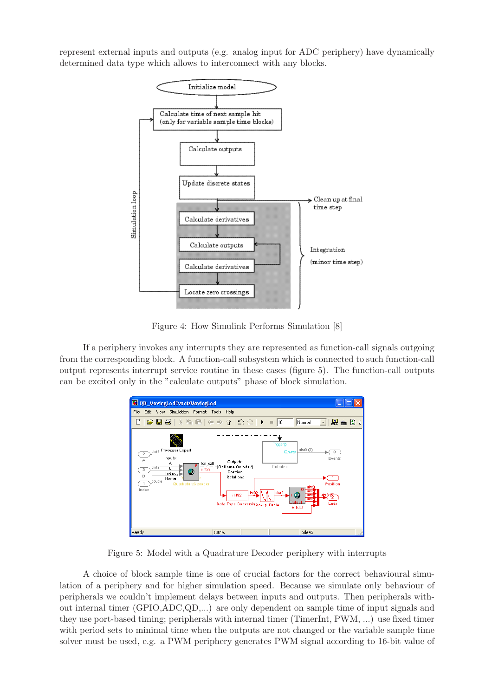represent external inputs and outputs (e.g. analog input for ADC periphery) have dynamically determined data type which allows to interconnect with any blocks.



Figure 4: How Simulink Performs Simulation [8]

If a periphery invokes any interrupts they are represented as function-call signals outgoing from the corresponding block. A function-call subsystem which is connected to such function-call output represents interrupt service routine in these cases (figure 5). The function-call outputs can be excited only in the "calculate outputs" phase of block simulation.



Figure 5: Model with a Quadrature Decoder periphery with interrupts

A choice of block sample time is one of crucial factors for the correct behavioural simulation of a periphery and for higher simulation speed. Because we simulate only behaviour of peripherals we couldn't implement delays between inputs and outputs. Then peripherals without internal timer (GPIO,ADC,QD,...) are only dependent on sample time of input signals and they use port-based timing; peripherals with internal timer (TimerInt, PWM, ...) use fixed timer with period sets to minimal time when the outputs are not changed or the variable sample time solver must be used, e.g. a PWM periphery generates PWM signal according to 16-bit value of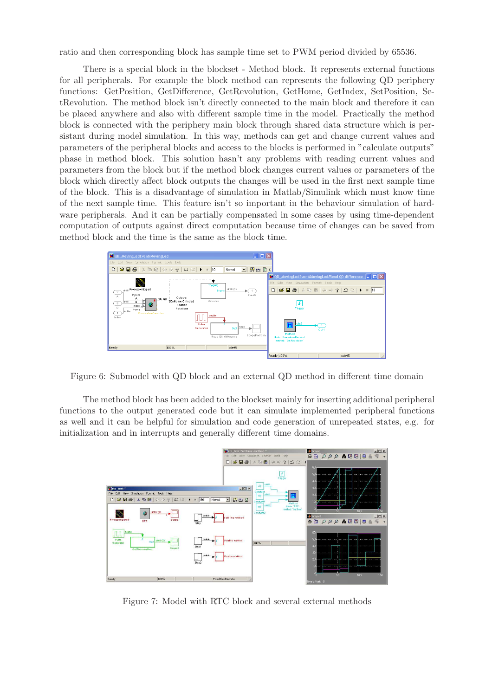ratio and then corresponding block has sample time set to PWM period divided by 65536.

There is a special block in the blockset - Method block. It represents external functions for all peripherals. For example the block method can represents the following QD periphery functions: GetPosition, GetDifference, GetRevolution, GetHome, GetIndex, SetPosition, SetRevolution. The method block isn't directly connected to the main block and therefore it can be placed anywhere and also with different sample time in the model. Practically the method block is connected with the periphery main block through shared data structure which is persistant during model simulation. In this way, methods can get and change current values and parameters of the peripheral blocks and access to the blocks is performed in "calculate outputs" phase in method block. This solution hasn't any problems with reading current values and parameters from the block but if the method block changes current values or parameters of the block which directly affect block outputs the changes will be used in the first next sample time of the block. This is a disadvantage of simulation in Matlab/Simulink which must know time of the next sample time. This feature isn't so important in the behaviour simulation of hardware peripherals. And it can be partially compensated in some cases by using time-dependent computation of outputs against direct computation because time of changes can be saved from method block and the time is the same as the block time.



Figure 6: Submodel with QD block and an external QD method in different time domain

The method block has been added to the blockset mainly for inserting additional peripheral functions to the output generated code but it can simulate implemented peripheral functions as well and it can be helpful for simulation and code generation of unrepeated states, e.g. for initialization and in interrupts and generally different time domains.



Figure 7: Model with RTC block and several external methods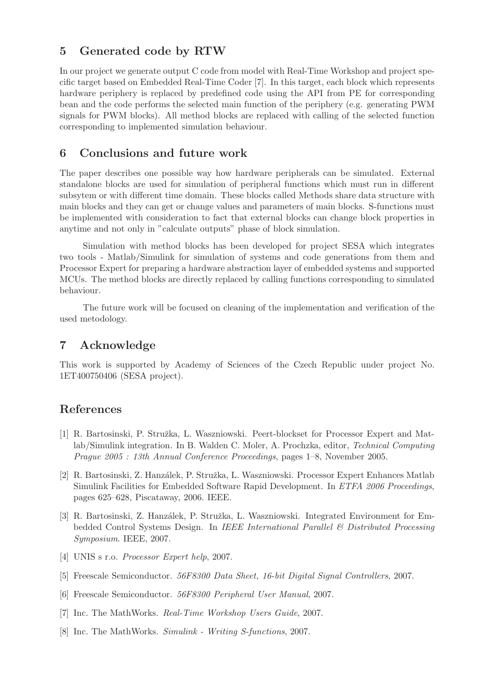## 5 Generated code by RTW

In our project we generate output C code from model with Real-Time Workshop and project specific target based on Embedded Real-Time Coder [7]. In this target, each block which represents hardware periphery is replaced by predefined code using the API from PE for corresponding bean and the code performs the selected main function of the periphery (e.g. generating PWM signals for PWM blocks). All method blocks are replaced with calling of the selected function corresponding to implemented simulation behaviour.

#### 6 Conclusions and future work

The paper describes one possible way how hardware peripherals can be simulated. External standalone blocks are used for simulation of peripheral functions which must run in different subsytem or with different time domain. These blocks called Methods share data structure with main blocks and they can get or change values and parameters of main blocks. S-functions must be implemented with consideration to fact that external blocks can change block properties in anytime and not only in "calculate outputs" phase of block simulation.

Simulation with method blocks has been developed for project SESA which integrates two tools - Matlab/Simulink for simulation of systems and code generations from them and Processor Expert for preparing a hardware abstraction layer of embedded systems and supported MCUs. The method blocks are directly replaced by calling functions corresponding to simulated behaviour.

The future work will be focused on cleaning of the implementation and verification of the used metodology.

#### 7 Acknowledge

This work is supported by Academy of Sciences of the Czech Republic under project No. 1ET400750406 (SESA project).

#### References

- [1] R. Bartosinski, P. Stružka, L. Waszniowski. Peert-blockset for Processor Expert and Matlab/Simulink integration. In B. Walden C. Moler, A. Prochzka, editor, Technical Computing Prague 2005 : 13th Annual Conference Proceedings, pages 1–8, November 2005.
- [2] R. Bartosinski, Z. Hanzálek, P. Stružka, L. Waszniowski. Processor Expert Enhances Matlab Simulink Facilities for Embedded Software Rapid Development. In ETFA 2006 Proceedings, pages 625–628, Piscataway, 2006. IEEE.
- [3] R. Bartosinski, Z. Hanzálek, P. Stružka, L. Waszniowski. Integrated Environment for Embedded Control Systems Design. In IEEE International Parallel & Distributed Processing Symposium. IEEE, 2007.
- [4] UNIS s r.o. Processor Expert help, 2007.
- [5] Freescale Semiconductor. 56F8300 Data Sheet, 16-bit Digital Signal Controllers, 2007.
- [6] Freescale Semiconductor. 56F8300 Peripheral User Manual, 2007.
- [7] Inc. The MathWorks. Real-Time Workshop Users Guide, 2007.
- [8] Inc. The MathWorks. Simulink Writing S-functions, 2007.